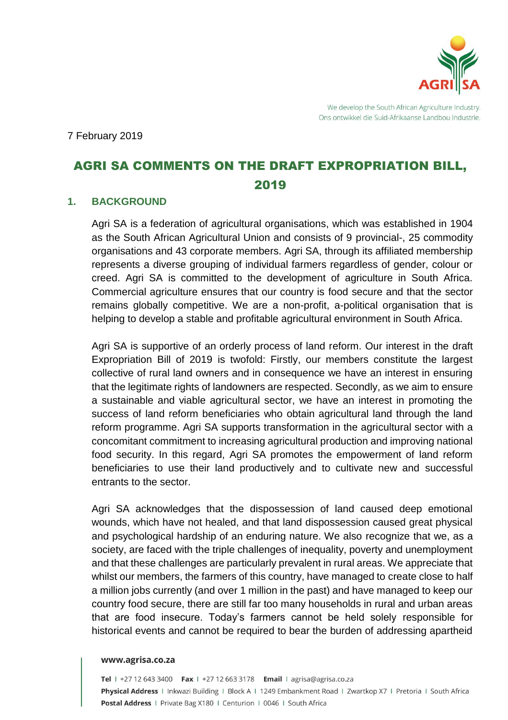

We develop the South African Agriculture Industry. Ons ontwikkel die Suid-Afrikaanse Landbou Industrie.

7 February 2019

# AGRI SA COMMENTS ON THE DRAFT EXPROPRIATION BILL, 2019

#### **1. BACKGROUND**

Agri SA is a federation of agricultural organisations, which was established in 1904 as the South African Agricultural Union and consists of 9 provincial-, 25 commodity organisations and 43 corporate members. Agri SA, through its affiliated membership represents a diverse grouping of individual farmers regardless of gender, colour or creed. Agri SA is committed to the development of agriculture in South Africa. Commercial agriculture ensures that our country is food secure and that the sector remains globally competitive. We are a non-profit, a-political organisation that is helping to develop a stable and profitable agricultural environment in South Africa.

Agri SA is supportive of an orderly process of land reform. Our interest in the draft Expropriation Bill of 2019 is twofold: Firstly, our members constitute the largest collective of rural land owners and in consequence we have an interest in ensuring that the legitimate rights of landowners are respected. Secondly, as we aim to ensure a sustainable and viable agricultural sector, we have an interest in promoting the success of land reform beneficiaries who obtain agricultural land through the land reform programme. Agri SA supports transformation in the agricultural sector with a concomitant commitment to increasing agricultural production and improving national food security. In this regard, Agri SA promotes the empowerment of land reform beneficiaries to use their land productively and to cultivate new and successful entrants to the sector.

Agri SA acknowledges that the dispossession of land caused deep emotional wounds, which have not healed, and that land dispossession caused great physical and psychological hardship of an enduring nature. We also recognize that we, as a society, are faced with the triple challenges of inequality, poverty and unemployment and that these challenges are particularly prevalent in rural areas. We appreciate that whilst our members, the farmers of this country, have managed to create close to half a million jobs currently (and over 1 million in the past) and have managed to keep our country food secure, there are still far too many households in rural and urban areas that are food insecure. Today's farmers cannot be held solely responsible for historical events and cannot be required to bear the burden of addressing apartheid

#### www.agrisa.co.za

Tel | +27 12 643 3400 Fax | +27 12 663 3178 Email | agrisa@agrisa.co.za Physical Address | Inkwazi Building | Block A | 1249 Embankment Road | Zwartkop X7 | Pretoria | South Africa Postal Address | Private Bag X180 | Centurion | 0046 | South Africa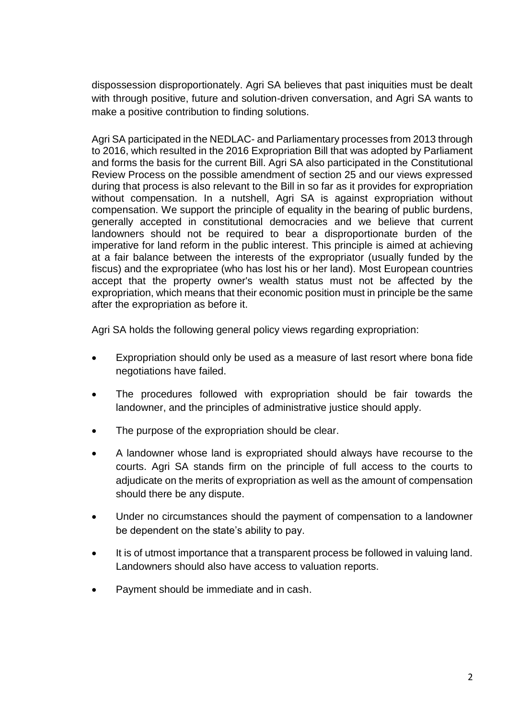dispossession disproportionately. Agri SA believes that past iniquities must be dealt with through positive, future and solution-driven conversation, and Agri SA wants to make a positive contribution to finding solutions.

Agri SA participated in the NEDLAC- and Parliamentary processes from 2013 through to 2016, which resulted in the 2016 Expropriation Bill that was adopted by Parliament and forms the basis for the current Bill. Agri SA also participated in the Constitutional Review Process on the possible amendment of section 25 and our views expressed during that process is also relevant to the Bill in so far as it provides for expropriation without compensation. In a nutshell, Agri SA is against expropriation without compensation. We support the principle of equality in the bearing of public burdens, generally accepted in constitutional democracies and we believe that current landowners should not be required to bear a disproportionate burden of the imperative for land reform in the public interest. This principle is aimed at achieving at a fair balance between the interests of the expropriator (usually funded by the fiscus) and the expropriatee (who has lost his or her land). Most European countries accept that the property owner's wealth status must not be affected by the expropriation, which means that their economic position must in principle be the same after the expropriation as before it.

Agri SA holds the following general policy views regarding expropriation:

- Expropriation should only be used as a measure of last resort where bona fide negotiations have failed.
- The procedures followed with expropriation should be fair towards the landowner, and the principles of administrative justice should apply.
- The purpose of the expropriation should be clear.
- A landowner whose land is expropriated should always have recourse to the courts. Agri SA stands firm on the principle of full access to the courts to adjudicate on the merits of expropriation as well as the amount of compensation should there be any dispute.
- Under no circumstances should the payment of compensation to a landowner be dependent on the state's ability to pay.
- It is of utmost importance that a transparent process be followed in valuing land. Landowners should also have access to valuation reports.
- Payment should be immediate and in cash.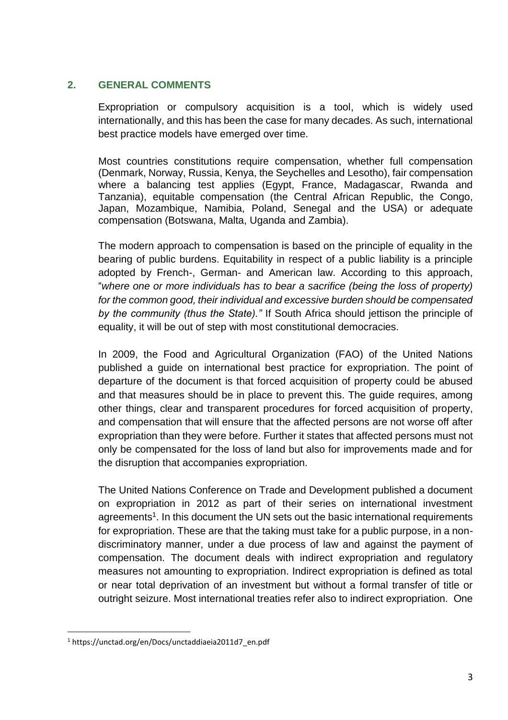# **2. GENERAL COMMENTS**

Expropriation or compulsory acquisition is a tool, which is widely used internationally, and this has been the case for many decades. As such, international best practice models have emerged over time.

Most countries constitutions require compensation, whether full compensation (Denmark, Norway, Russia, Kenya, the Seychelles and Lesotho), fair compensation where a balancing test applies (Egypt, France, Madagascar, Rwanda and Tanzania), equitable compensation (the Central African Republic, the Congo, Japan, Mozambique, Namibia, Poland, Senegal and the USA) or adequate compensation (Botswana, Malta, Uganda and Zambia).

The modern approach to compensation is based on the principle of equality in the bearing of public burdens. Equitability in respect of a public liability is a principle adopted by French-, German- and American law. According to this approach, "*where one or more individuals has to bear a sacrifice (being the loss of property) for the common good, their individual and excessive burden should be compensated by the community (thus the State)."* If South Africa should jettison the principle of equality, it will be out of step with most constitutional democracies.

In 2009, the Food and Agricultural Organization (FAO) of the United Nations published a guide on international best practice for expropriation. The point of departure of the document is that forced acquisition of property could be abused and that measures should be in place to prevent this. The guide requires, among other things, clear and transparent procedures for forced acquisition of property, and compensation that will ensure that the affected persons are not worse off after expropriation than they were before. Further it states that affected persons must not only be compensated for the loss of land but also for improvements made and for the disruption that accompanies expropriation.

The United Nations Conference on Trade and Development published a document on expropriation in 2012 as part of their series on international investment agreements<sup>1</sup>. In this document the UN sets out the basic international requirements for expropriation. These are that the taking must take for a public purpose, in a nondiscriminatory manner, under a due process of law and against the payment of compensation. The document deals with indirect expropriation and regulatory measures not amounting to expropriation. Indirect expropriation is defined as total or near total deprivation of an investment but without a formal transfer of title or outright seizure. Most international treaties refer also to indirect expropriation. One

<sup>&</sup>lt;u>.</u> <sup>1</sup> https://unctad.org/en/Docs/unctaddiaeia2011d7\_en.pdf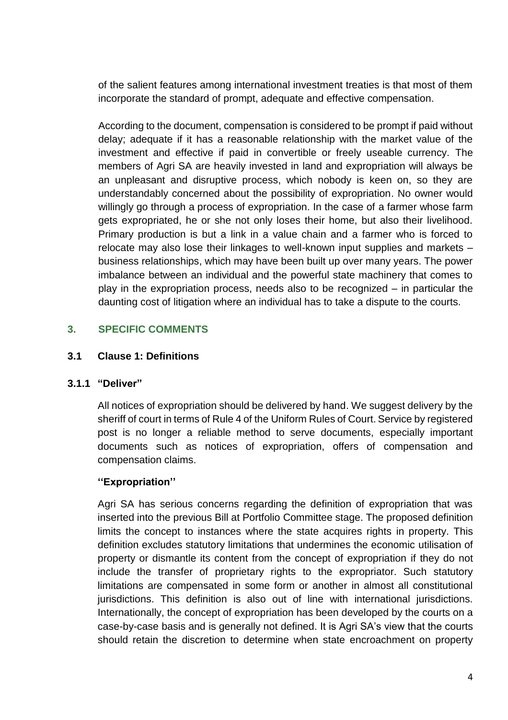of the salient features among international investment treaties is that most of them incorporate the standard of prompt, adequate and effective compensation.

According to the document, compensation is considered to be prompt if paid without delay; adequate if it has a reasonable relationship with the market value of the investment and effective if paid in convertible or freely useable currency. The members of Agri SA are heavily invested in land and expropriation will always be an unpleasant and disruptive process, which nobody is keen on, so they are understandably concerned about the possibility of expropriation. No owner would willingly go through a process of expropriation. In the case of a farmer whose farm gets expropriated, he or she not only loses their home, but also their livelihood. Primary production is but a link in a value chain and a farmer who is forced to relocate may also lose their linkages to well-known input supplies and markets – business relationships, which may have been built up over many years. The power imbalance between an individual and the powerful state machinery that comes to play in the expropriation process, needs also to be recognized – in particular the daunting cost of litigation where an individual has to take a dispute to the courts.

# **3. SPECIFIC COMMENTS**

# **3.1 Clause 1: Definitions**

#### **3.1.1 "Deliver"**

All notices of expropriation should be delivered by hand. We suggest delivery by the sheriff of court in terms of Rule 4 of the Uniform Rules of Court. Service by registered post is no longer a reliable method to serve documents, especially important documents such as notices of expropriation, offers of compensation and compensation claims.

# **''Expropriation''**

Agri SA has serious concerns regarding the definition of expropriation that was inserted into the previous Bill at Portfolio Committee stage. The proposed definition limits the concept to instances where the state acquires rights in property. This definition excludes statutory limitations that undermines the economic utilisation of property or dismantle its content from the concept of expropriation if they do not include the transfer of proprietary rights to the expropriator. Such statutory limitations are compensated in some form or another in almost all constitutional jurisdictions. This definition is also out of line with international jurisdictions. Internationally, the concept of expropriation has been developed by the courts on a case-by-case basis and is generally not defined. It is Agri SA's view that the courts should retain the discretion to determine when state encroachment on property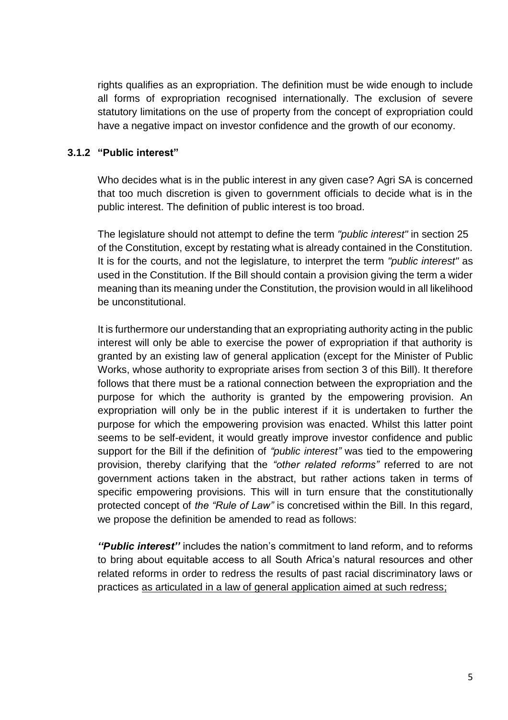rights qualifies as an expropriation. The definition must be wide enough to include all forms of expropriation recognised internationally. The exclusion of severe statutory limitations on the use of property from the concept of expropriation could have a negative impact on investor confidence and the growth of our economy.

#### **3.1.2 "Public interest"**

Who decides what is in the public interest in any given case? Agri SA is concerned that too much discretion is given to government officials to decide what is in the public interest. The definition of public interest is too broad.

The legislature should not attempt to define the term *"public interest"* in section 25 of the Constitution, except by restating what is already contained in the Constitution. It is for the courts, and not the legislature, to interpret the term *"public interest"* as used in the Constitution. If the Bill should contain a provision giving the term a wider meaning than its meaning under the Constitution, the provision would in all likelihood be unconstitutional.

It is furthermore our understanding that an expropriating authority acting in the public interest will only be able to exercise the power of expropriation if that authority is granted by an existing law of general application (except for the Minister of Public Works, whose authority to expropriate arises from section 3 of this Bill). It therefore follows that there must be a rational connection between the expropriation and the purpose for which the authority is granted by the empowering provision. An expropriation will only be in the public interest if it is undertaken to further the purpose for which the empowering provision was enacted. Whilst this latter point seems to be self-evident, it would greatly improve investor confidence and public support for the Bill if the definition of *"public interest"* was tied to the empowering provision, thereby clarifying that the *"other related reforms"* referred to are not government actions taken in the abstract, but rather actions taken in terms of specific empowering provisions. This will in turn ensure that the constitutionally protected concept of *the "Rule of Law"* is concretised within the Bill. In this regard, we propose the definition be amended to read as follows:

*''Public interest''* includes the nation's commitment to land reform, and to reforms to bring about equitable access to all South Africa's natural resources and other related reforms in order to redress the results of past racial discriminatory laws or practices as articulated in a law of general application aimed at such redress;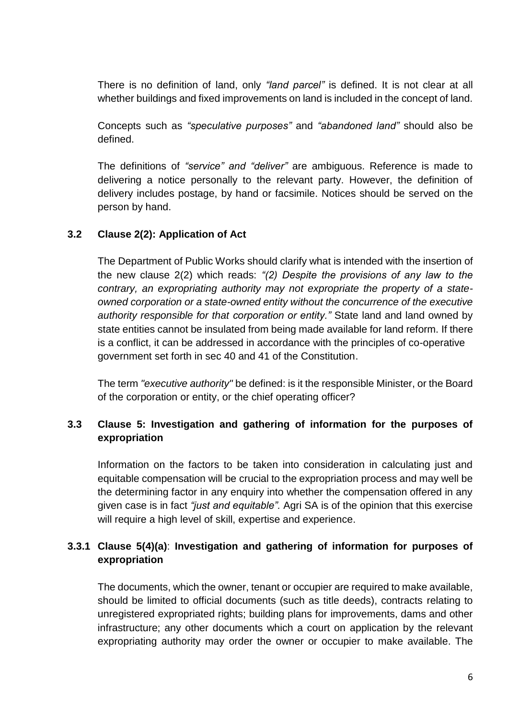There is no definition of land, only *"land parcel"* is defined. It is not clear at all whether buildings and fixed improvements on land is included in the concept of land.

Concepts such as *"speculative purposes"* and *"abandoned land"* should also be defined.

The definitions of *"service" and "deliver"* are ambiguous. Reference is made to delivering a notice personally to the relevant party. However, the definition of delivery includes postage, by hand or facsimile. Notices should be served on the person by hand.

# **3.2 Clause 2(2): Application of Act**

The Department of Public Works should clarify what is intended with the insertion of the new clause 2(2) which reads: *"(2) Despite the provisions of any law to the contrary, an expropriating authority may not expropriate the property of a stateowned corporation or a state-owned entity without the concurrence of the executive authority responsible for that corporation or entity."* State land and land owned by state entities cannot be insulated from being made available for land reform. If there is a conflict, it can be addressed in accordance with the principles of co-operative government set forth in sec 40 and 41 of the Constitution.

The term *"executive authority"* be defined: is it the responsible Minister, or the Board of the corporation or entity, or the chief operating officer?

# **3.3 Clause 5: Investigation and gathering of information for the purposes of expropriation**

Information on the factors to be taken into consideration in calculating just and equitable compensation will be crucial to the expropriation process and may well be the determining factor in any enquiry into whether the compensation offered in any given case is in fact *"just and equitable".* Agri SA is of the opinion that this exercise will require a high level of skill, expertise and experience.

# **3.3.1 Clause 5(4)(a)**: **Investigation and gathering of information for purposes of expropriation**

The documents, which the owner, tenant or occupier are required to make available, should be limited to official documents (such as title deeds), contracts relating to unregistered expropriated rights; building plans for improvements, dams and other infrastructure; any other documents which a court on application by the relevant expropriating authority may order the owner or occupier to make available. The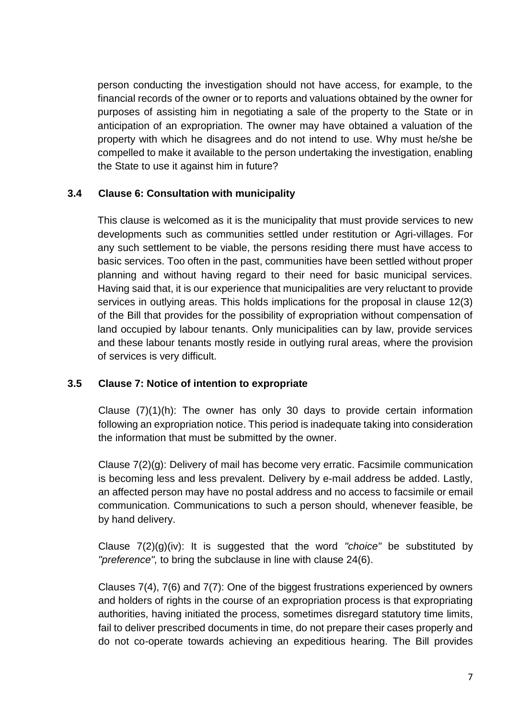person conducting the investigation should not have access, for example, to the financial records of the owner or to reports and valuations obtained by the owner for purposes of assisting him in negotiating a sale of the property to the State or in anticipation of an expropriation. The owner may have obtained a valuation of the property with which he disagrees and do not intend to use. Why must he/she be compelled to make it available to the person undertaking the investigation, enabling the State to use it against him in future?

# **3.4 Clause 6: Consultation with municipality**

This clause is welcomed as it is the municipality that must provide services to new developments such as communities settled under restitution or Agri-villages. For any such settlement to be viable, the persons residing there must have access to basic services. Too often in the past, communities have been settled without proper planning and without having regard to their need for basic municipal services. Having said that, it is our experience that municipalities are very reluctant to provide services in outlying areas. This holds implications for the proposal in clause 12(3) of the Bill that provides for the possibility of expropriation without compensation of land occupied by labour tenants. Only municipalities can by law, provide services and these labour tenants mostly reside in outlying rural areas, where the provision of services is very difficult.

# **3.5 Clause 7: Notice of intention to expropriate**

Clause (7)(1)(h): The owner has only 30 days to provide certain information following an expropriation notice. This period is inadequate taking into consideration the information that must be submitted by the owner.

Clause 7(2)(g): Delivery of mail has become very erratic. Facsimile communication is becoming less and less prevalent. Delivery by e-mail address be added. Lastly, an affected person may have no postal address and no access to facsimile or email communication. Communications to such a person should, whenever feasible, be by hand delivery.

Clause 7(2)(g)(iv): It is suggested that the word *"choice"* be substituted by *"preference",* to bring the subclause in line with clause 24(6).

Clauses 7(4), 7(6) and 7(7): One of the biggest frustrations experienced by owners and holders of rights in the course of an expropriation process is that expropriating authorities, having initiated the process, sometimes disregard statutory time limits, fail to deliver prescribed documents in time, do not prepare their cases properly and do not co-operate towards achieving an expeditious hearing. The Bill provides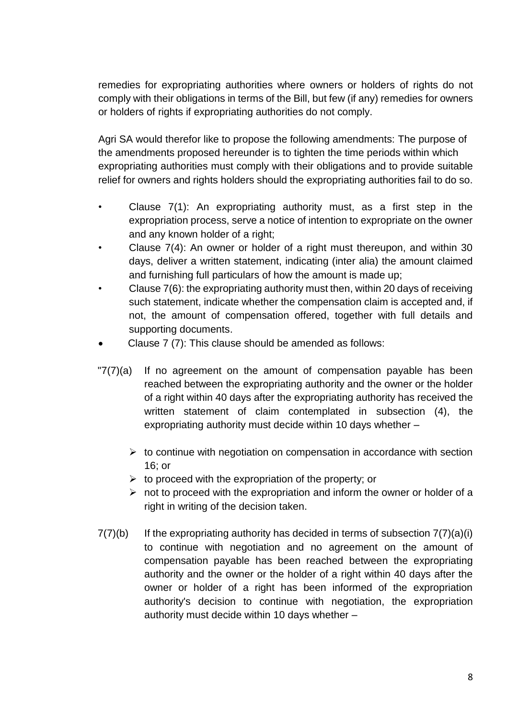remedies for expropriating authorities where owners or holders of rights do not comply with their obligations in terms of the Bill, but few (if any) remedies for owners or holders of rights if expropriating authorities do not comply.

Agri SA would therefor like to propose the following amendments: The purpose of the amendments proposed hereunder is to tighten the time periods within which expropriating authorities must comply with their obligations and to provide suitable relief for owners and rights holders should the expropriating authorities fail to do so.

- Clause  $7(1)$ : An expropriating authority must, as a first step in the expropriation process, serve a notice of intention to expropriate on the owner and any known holder of a right;
- Clause 7(4): An owner or holder of a right must thereupon, and within 30 days, deliver a written statement, indicating (inter alia) the amount claimed and furnishing full particulars of how the amount is made up;
- Clause 7(6): the expropriating authority must then, within 20 days of receiving such statement, indicate whether the compensation claim is accepted and, if not, the amount of compensation offered, together with full details and supporting documents.
- Clause 7 (7): This clause should be amended as follows:
- $T(7)(a)$  If no agreement on the amount of compensation payable has been reached between the expropriating authority and the owner or the holder of a right within 40 days after the expropriating authority has received the written statement of claim contemplated in subsection (4), the expropriating authority must decide within 10 days whether –
	- $\triangleright$  to continue with negotiation on compensation in accordance with section 16; or
	- $\triangleright$  to proceed with the expropriation of the property; or
	- $\triangleright$  not to proceed with the expropriation and inform the owner or holder of a right in writing of the decision taken.
- $7(7)(b)$  If the expropriating authority has decided in terms of subsection  $7(7)(a)(i)$ to continue with negotiation and no agreement on the amount of compensation payable has been reached between the expropriating authority and the owner or the holder of a right within 40 days after the owner or holder of a right has been informed of the expropriation authority's decision to continue with negotiation, the expropriation authority must decide within 10 days whether –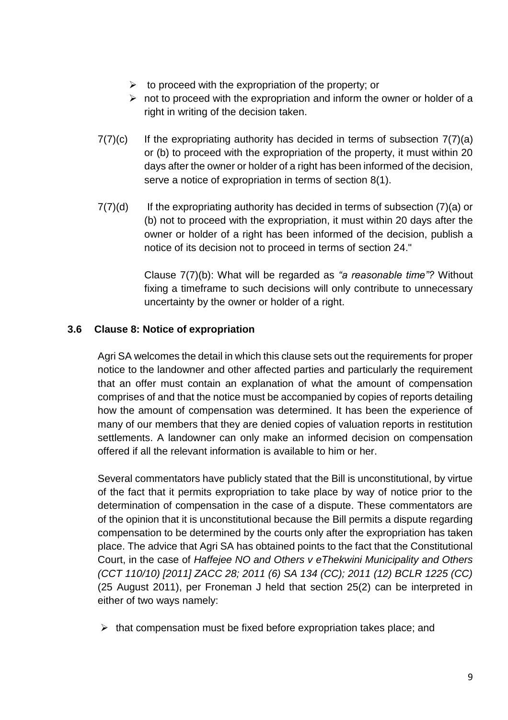- $\triangleright$  to proceed with the expropriation of the property; or
- $\triangleright$  not to proceed with the expropriation and inform the owner or holder of a right in writing of the decision taken.
- $7(7)(c)$  If the expropriating authority has decided in terms of subsection  $7(7)(a)$ or (b) to proceed with the expropriation of the property, it must within 20 days after the owner or holder of a right has been informed of the decision, serve a notice of expropriation in terms of section 8(1).
- $7(7)(d)$  If the expropriating authority has decided in terms of subsection  $(7)(a)$  or (b) not to proceed with the expropriation, it must within 20 days after the owner or holder of a right has been informed of the decision, publish a notice of its decision not to proceed in terms of section 24."

Clause 7(7)(b): What will be regarded as *"a reasonable time"?* Without fixing a timeframe to such decisions will only contribute to unnecessary uncertainty by the owner or holder of a right.

# **3.6 Clause 8: Notice of expropriation**

Agri SA welcomes the detail in which this clause sets out the requirements for proper notice to the landowner and other affected parties and particularly the requirement that an offer must contain an explanation of what the amount of compensation comprises of and that the notice must be accompanied by copies of reports detailing how the amount of compensation was determined. It has been the experience of many of our members that they are denied copies of valuation reports in restitution settlements. A landowner can only make an informed decision on compensation offered if all the relevant information is available to him or her.

Several commentators have publicly stated that the Bill is unconstitutional, by virtue of the fact that it permits expropriation to take place by way of notice prior to the determination of compensation in the case of a dispute. These commentators are of the opinion that it is unconstitutional because the Bill permits a dispute regarding compensation to be determined by the courts only after the expropriation has taken place. The advice that Agri SA has obtained points to the fact that the Constitutional Court, in the case of *Haffejee NO and Others v eThekwini Municipality and Others (CCT 110/10) [2011] ZACC 28; 2011 (6) SA 134 (CC); 2011 (12) BCLR 1225 (CC)* (25 August 2011), per Froneman J held that section 25(2) can be interpreted in either of two ways namely:

 $\triangleright$  that compensation must be fixed before expropriation takes place; and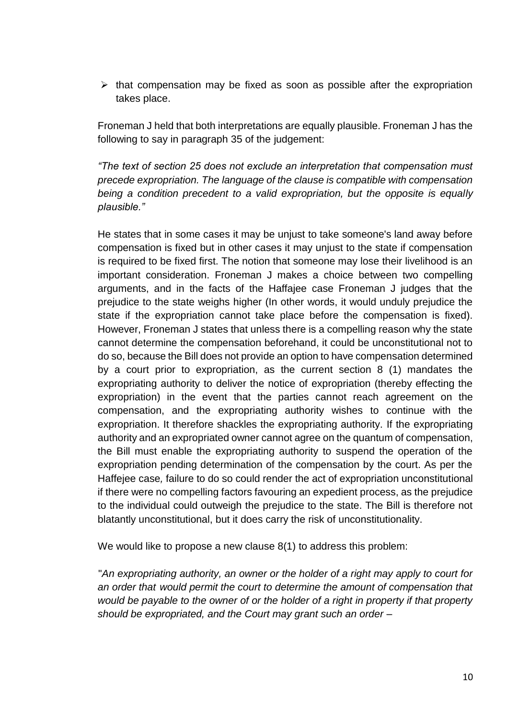$\triangleright$  that compensation may be fixed as soon as possible after the expropriation takes place.

Froneman J held that both interpretations are equally plausible. Froneman J has the following to say in paragraph 35 of the judgement:

*"The text of section 25 does not exclude an interpretation that compensation must precede expropriation. The language of the clause is compatible with compensation being a condition precedent to a valid expropriation, but the opposite is equally plausible."*

He states that in some cases it may be unjust to take someone's land away before compensation is fixed but in other cases it may unjust to the state if compensation is required to be fixed first. The notion that someone may lose their livelihood is an important consideration. Froneman J makes a choice between two compelling arguments, and in the facts of the Haffajee case Froneman J judges that the prejudice to the state weighs higher (In other words, it would unduly prejudice the state if the expropriation cannot take place before the compensation is fixed). However, Froneman J states that unless there is a compelling reason why the state cannot determine the compensation beforehand, it could be unconstitutional not to do so, because the Bill does not provide an option to have compensation determined by a court prior to expropriation, as the current section 8 (1) mandates the expropriating authority to deliver the notice of expropriation (thereby effecting the expropriation) in the event that the parties cannot reach agreement on the compensation, and the expropriating authority wishes to continue with the expropriation. It therefore shackles the expropriating authority. If the expropriating authority and an expropriated owner cannot agree on the quantum of compensation, the Bill must enable the expropriating authority to suspend the operation of the expropriation pending determination of the compensation by the court. As per the Haffejee case*,* failure to do so could render the act of expropriation unconstitutional if there were no compelling factors favouring an expedient process, as the prejudice to the individual could outweigh the prejudice to the state. The Bill is therefore not blatantly unconstitutional, but it does carry the risk of unconstitutionality.

We would like to propose a new clause 8(1) to address this problem:

"*An expropriating authority, an owner or the holder of a right may apply to court for an order that would permit the court to determine the amount of compensation that would be payable to the owner of or the holder of a right in property if that property should be expropriated, and the Court may grant such an order –*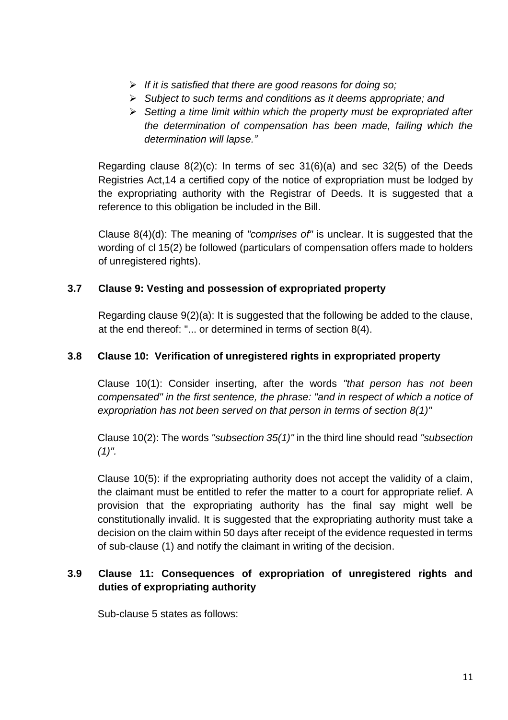- ➢ *If it is satisfied that there are good reasons for doing so;*
- ➢ *Subject to such terms and conditions as it deems appropriate; and*
- ➢ *Setting a time limit within which the property must be expropriated after the determination of compensation has been made, failing which the determination will lapse."*

Regarding clause 8(2)(c): In terms of sec 31(6)(a) and sec 32(5) of the Deeds Registries Act,14 a certified copy of the notice of expropriation must be lodged by the expropriating authority with the Registrar of Deeds. It is suggested that a reference to this obligation be included in the Bill.

Clause 8(4)(d): The meaning of *"comprises of"* is unclear. It is suggested that the wording of cl 15(2) be followed (particulars of compensation offers made to holders of unregistered rights).

# **3.7 Clause 9: Vesting and possession of expropriated property**

Regarding clause 9(2)(a): It is suggested that the following be added to the clause, at the end thereof: "... or determined in terms of section 8(4).

# **3.8 Clause 10: Verification of unregistered rights in expropriated property**

Clause 10(1): Consider inserting, after the words *"that person has not been compensated" in the first sentence, the phrase: "and in respect of which a notice of expropriation has not been served on that person in terms of section 8(1)"*

Clause 10(2): The words *"subsection 35(1)"* in the third line should read *"subsection (1)".*

Clause 10(5): if the expropriating authority does not accept the validity of a claim, the claimant must be entitled to refer the matter to a court for appropriate relief. A provision that the expropriating authority has the final say might well be constitutionally invalid. It is suggested that the expropriating authority must take a decision on the claim within 50 days after receipt of the evidence requested in terms of sub-clause (1) and notify the claimant in writing of the decision.

# **3.9 Clause 11: Consequences of expropriation of unregistered rights and duties of expropriating authority**

Sub-clause 5 states as follows: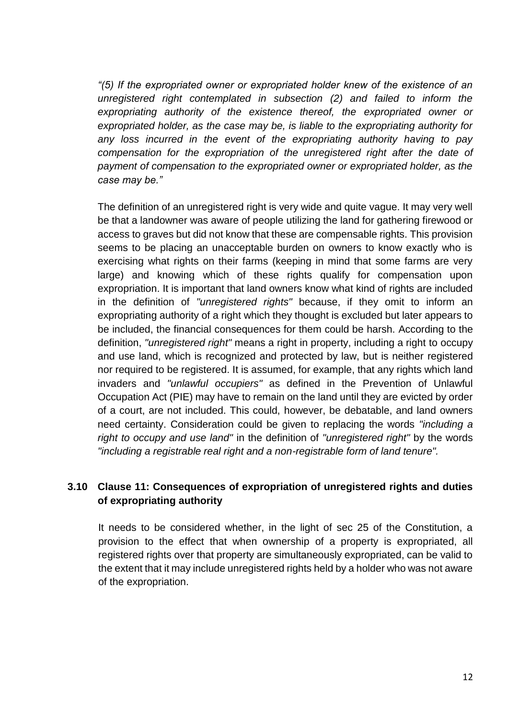*"(5) If the expropriated owner or expropriated holder knew of the existence of an unregistered right contemplated in subsection (2) and failed to inform the expropriating authority of the existence thereof, the expropriated owner or expropriated holder, as the case may be, is liable to the expropriating authority for any loss incurred in the event of the expropriating authority having to pay compensation for the expropriation of the unregistered right after the date of payment of compensation to the expropriated owner or expropriated holder, as the case may be."*

The definition of an unregistered right is very wide and quite vague. It may very well be that a landowner was aware of people utilizing the land for gathering firewood or access to graves but did not know that these are compensable rights. This provision seems to be placing an unacceptable burden on owners to know exactly who is exercising what rights on their farms (keeping in mind that some farms are very large) and knowing which of these rights qualify for compensation upon expropriation. It is important that land owners know what kind of rights are included in the definition of *"unregistered rights"* because, if they omit to inform an expropriating authority of a right which they thought is excluded but later appears to be included, the financial consequences for them could be harsh. According to the definition, *"unregistered right"* means a right in property, including a right to occupy and use land, which is recognized and protected by law, but is neither registered nor required to be registered. It is assumed, for example, that any rights which land invaders and *"unlawful occupiers"* as defined in the Prevention of Unlawful Occupation Act (PIE) may have to remain on the land until they are evicted by order of a court, are not included. This could, however, be debatable, and land owners need certainty. Consideration could be given to replacing the words *"including a right to occupy and use land"* in the definition of *"unregistered right"* by the words *"including a registrable real right and a non-registrable form of land tenure".*

# **3.10 Clause 11: Consequences of expropriation of unregistered rights and duties of expropriating authority**

It needs to be considered whether, in the light of sec 25 of the Constitution, a provision to the effect that when ownership of a property is expropriated, all registered rights over that property are simultaneously expropriated, can be valid to the extent that it may include unregistered rights held by a holder who was not aware of the expropriation.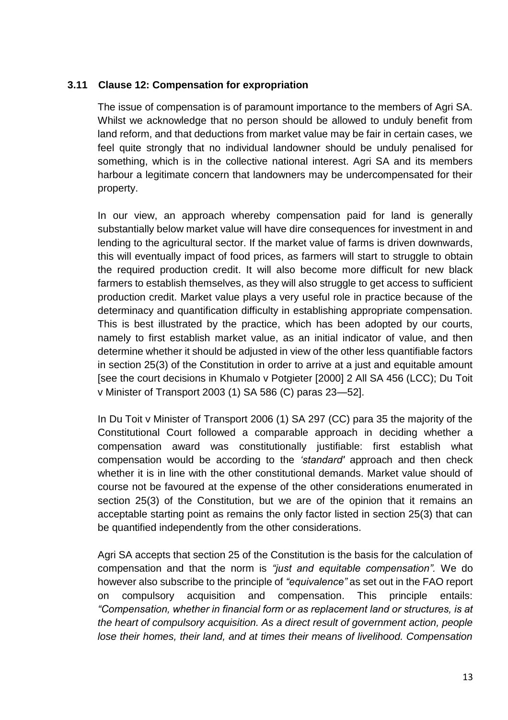# **3.11 Clause 12: Compensation for expropriation**

The issue of compensation is of paramount importance to the members of Agri SA. Whilst we acknowledge that no person should be allowed to unduly benefit from land reform, and that deductions from market value may be fair in certain cases, we feel quite strongly that no individual landowner should be unduly penalised for something, which is in the collective national interest. Agri SA and its members harbour a legitimate concern that landowners may be undercompensated for their property.

In our view, an approach whereby compensation paid for land is generally substantially below market value will have dire consequences for investment in and lending to the agricultural sector. If the market value of farms is driven downwards, this will eventually impact of food prices, as farmers will start to struggle to obtain the required production credit. It will also become more difficult for new black farmers to establish themselves, as they will also struggle to get access to sufficient production credit. Market value plays a very useful role in practice because of the determinacy and quantification difficulty in establishing appropriate compensation. This is best illustrated by the practice, which has been adopted by our courts, namely to first establish market value, as an initial indicator of value, and then determine whether it should be adjusted in view of the other less quantifiable factors in section 25(3) of the Constitution in order to arrive at a just and equitable amount [see the court decisions in Khumalo v Potgieter [2000] 2 All SA 456 (LCC); Du Toit v Minister of Transport 2003 (1) SA 586 (C) paras 23—52].

In Du Toit v Minister of Transport 2006 (1) SA 297 (CC) para 35 the majority of the Constitutional Court followed a comparable approach in deciding whether a compensation award was constitutionally justifiable: first establish what compensation would be according to the *'standard'* approach and then check whether it is in line with the other constitutional demands. Market value should of course not be favoured at the expense of the other considerations enumerated in section 25(3) of the Constitution, but we are of the opinion that it remains an acceptable starting point as remains the only factor listed in section 25(3) that can be quantified independently from the other considerations.

Agri SA accepts that section 25 of the Constitution is the basis for the calculation of compensation and that the norm is *"just and equitable compensation".* We do however also subscribe to the principle of *"equivalence"* as set out in the FAO report on compulsory acquisition and compensation. This principle entails: *"Compensation, whether in financial form or as replacement land or structures, is at the heart of compulsory acquisition. As a direct result of government action, people lose their homes, their land, and at times their means of livelihood. Compensation*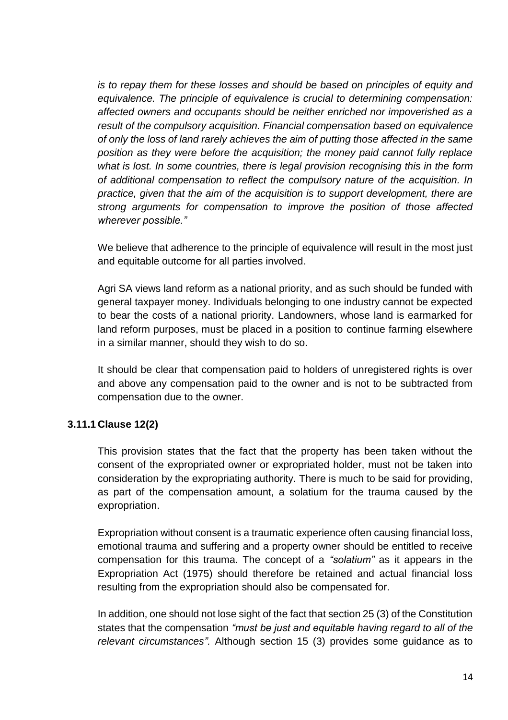*is to repay them for these losses and should be based on principles of equity and equivalence. The principle of equivalence is crucial to determining compensation: affected owners and occupants should be neither enriched nor impoverished as a result of the compulsory acquisition. Financial compensation based on equivalence of only the loss of land rarely achieves the aim of putting those affected in the same position as they were before the acquisition; the money paid cannot fully replace what is lost. In some countries, there is legal provision recognising this in the form of additional compensation to reflect the compulsory nature of the acquisition. In practice, given that the aim of the acquisition is to support development, there are strong arguments for compensation to improve the position of those affected wherever possible."*

We believe that adherence to the principle of equivalence will result in the most just and equitable outcome for all parties involved.

Agri SA views land reform as a national priority, and as such should be funded with general taxpayer money. Individuals belonging to one industry cannot be expected to bear the costs of a national priority. Landowners, whose land is earmarked for land reform purposes, must be placed in a position to continue farming elsewhere in a similar manner, should they wish to do so.

It should be clear that compensation paid to holders of unregistered rights is over and above any compensation paid to the owner and is not to be subtracted from compensation due to the owner.

# **3.11.1 Clause 12(2)**

This provision states that the fact that the property has been taken without the consent of the expropriated owner or expropriated holder, must not be taken into consideration by the expropriating authority. There is much to be said for providing, as part of the compensation amount, a solatium for the trauma caused by the expropriation.

Expropriation without consent is a traumatic experience often causing financial loss, emotional trauma and suffering and a property owner should be entitled to receive compensation for this trauma. The concept of a *"solatium"* as it appears in the Expropriation Act (1975) should therefore be retained and actual financial loss resulting from the expropriation should also be compensated for.

In addition, one should not lose sight of the fact that section 25 (3) of the Constitution states that the compensation *"must be just and equitable having regard to all of the relevant circumstances".* Although section 15 (3) provides some guidance as to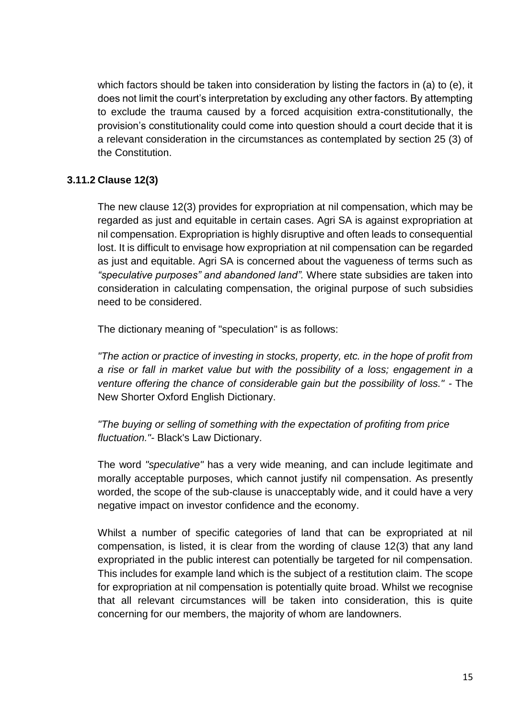which factors should be taken into consideration by listing the factors in (a) to (e), it does not limit the court's interpretation by excluding any other factors. By attempting to exclude the trauma caused by a forced acquisition extra-constitutionally, the provision's constitutionality could come into question should a court decide that it is a relevant consideration in the circumstances as contemplated by section 25 (3) of the Constitution.

# **3.11.2 Clause 12(3)**

The new clause 12(3) provides for expropriation at nil compensation, which may be regarded as just and equitable in certain cases. Agri SA is against expropriation at nil compensation. Expropriation is highly disruptive and often leads to consequential lost. It is difficult to envisage how expropriation at nil compensation can be regarded as just and equitable. Agri SA is concerned about the vagueness of terms such as *"speculative purposes" and abandoned land".* Where state subsidies are taken into consideration in calculating compensation, the original purpose of such subsidies need to be considered.

The dictionary meaning of "speculation" is as follows:

*"The action or practice of investing in stocks, property, etc. in the hope of profit from a rise or fall in market value but with the possibility of a loss; engagement in a venture offering the chance of considerable gain but the possibility of loss." -* The New Shorter Oxford English Dictionary.

*"The buying or selling of something with the expectation of profiting from price fluctuation."-* Black's Law Dictionary.

The word *"speculative"* has a very wide meaning, and can include legitimate and morally acceptable purposes, which cannot justify nil compensation. As presently worded, the scope of the sub-clause is unacceptably wide, and it could have a very negative impact on investor confidence and the economy.

Whilst a number of specific categories of land that can be expropriated at nil compensation, is listed, it is clear from the wording of clause 12(3) that any land expropriated in the public interest can potentially be targeted for nil compensation. This includes for example land which is the subject of a restitution claim. The scope for expropriation at nil compensation is potentially quite broad. Whilst we recognise that all relevant circumstances will be taken into consideration, this is quite concerning for our members, the majority of whom are landowners.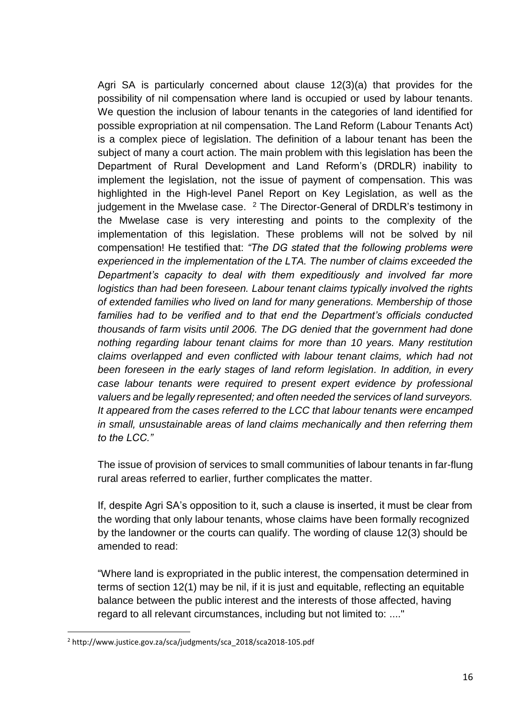Agri SA is particularly concerned about clause 12(3)(a) that provides for the possibility of nil compensation where land is occupied or used by labour tenants. We question the inclusion of labour tenants in the categories of land identified for possible expropriation at nil compensation. The Land Reform (Labour Tenants Act) is a complex piece of legislation. The definition of a labour tenant has been the subject of many a court action. The main problem with this legislation has been the Department of Rural Development and Land Reform's (DRDLR) inability to implement the legislation, not the issue of payment of compensation. This was highlighted in the High-level Panel Report on Key Legislation, as well as the judgement in the Mwelase case. <sup>2</sup> The Director-General of DRDLR's testimony in the Mwelase case is very interesting and points to the complexity of the implementation of this legislation. These problems will not be solved by nil compensation! He testified that: *"The DG stated that the following problems were experienced in the implementation of the LTA. The number of claims exceeded the Department's capacity to deal with them expeditiously and involved far more logistics than had been foreseen. Labour tenant claims typically involved the rights of extended families who lived on land for many generations. Membership of those families had to be verified and to that end the Department's officials conducted thousands of farm visits until 2006. The DG denied that the government had done nothing regarding labour tenant claims for more than 10 years. Many restitution claims overlapped and even conflicted with labour tenant claims, which had not been foreseen in the early stages of land reform legislation. In addition, in every case labour tenants were required to present expert evidence by professional valuers and be legally represented; and often needed the services of land surveyors. It appeared from the cases referred to the LCC that labour tenants were encamped in small, unsustainable areas of land claims mechanically and then referring them to the LCC."*

The issue of provision of services to small communities of labour tenants in far-flung rural areas referred to earlier, further complicates the matter.

If, despite Agri SA's opposition to it, such a clause is inserted, it must be clear from the wording that only labour tenants, whose claims have been formally recognized by the landowner or the courts can qualify. The wording of clause 12(3) should be amended to read:

"Where land is expropriated in the public interest, the compensation determined in terms of section 12(1) may be nil, if it is just and equitable, reflecting an equitable balance between the public interest and the interests of those affected, having regard to all relevant circumstances, including but not limited to: ...."

<u>.</u>

<sup>2</sup> http://www.justice.gov.za/sca/judgments/sca\_2018/sca2018-105.pdf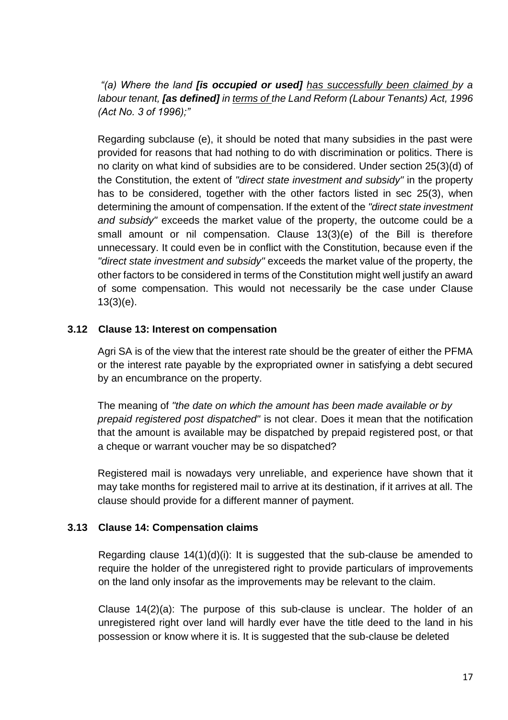*"(a) Where the land [is occupied or used] has successfully been claimed by a labour tenant, [as defined] in terms of the Land Reform (Labour Tenants) Act, 1996 (Act No. 3 of 1996);"*

Regarding subclause (e), it should be noted that many subsidies in the past were provided for reasons that had nothing to do with discrimination or politics. There is no clarity on what kind of subsidies are to be considered. Under section 25(3)(d) of the Constitution, the extent of *"direct state investment and subsidy"* in the property has to be considered, together with the other factors listed in sec 25(3), when determining the amount of compensation. If the extent of the *"direct state investment and subsidy"* exceeds the market value of the property, the outcome could be a small amount or nil compensation. Clause 13(3)(e) of the Bill is therefore unnecessary. It could even be in conflict with the Constitution, because even if the *"direct state investment and subsidy"* exceeds the market value of the property, the other factors to be considered in terms of the Constitution might well justify an award of some compensation. This would not necessarily be the case under Clause 13(3)(e).

# **3.12 Clause 13: Interest on compensation**

Agri SA is of the view that the interest rate should be the greater of either the PFMA or the interest rate payable by the expropriated owner in satisfying a debt secured by an encumbrance on the property.

The meaning of *"the date on which the amount has been made available or by prepaid registered post dispatched"* is not clear. Does it mean that the notification that the amount is available may be dispatched by prepaid registered post, or that a cheque or warrant voucher may be so dispatched?

Registered mail is nowadays very unreliable, and experience have shown that it may take months for registered mail to arrive at its destination, if it arrives at all. The clause should provide for a different manner of payment.

#### **3.13 Clause 14: Compensation claims**

Regarding clause  $14(1)(d)(i)$ : It is suggested that the sub-clause be amended to require the holder of the unregistered right to provide particulars of improvements on the land only insofar as the improvements may be relevant to the claim.

Clause 14(2)(a): The purpose of this sub-clause is unclear. The holder of an unregistered right over land will hardly ever have the title deed to the land in his possession or know where it is. It is suggested that the sub-clause be deleted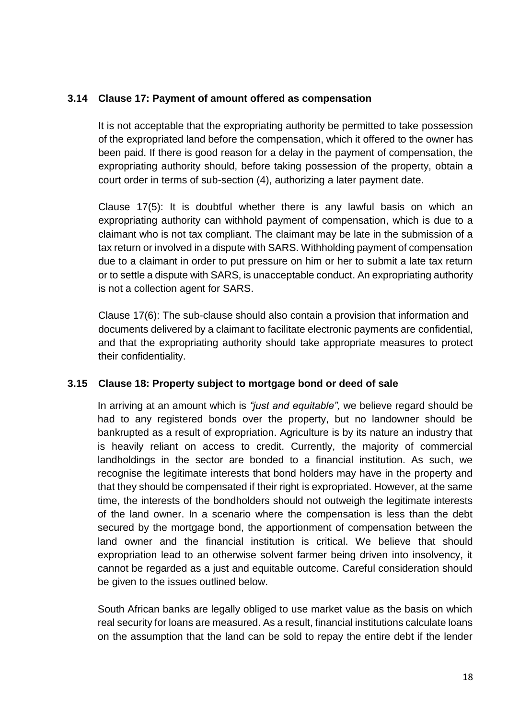# **3.14 Clause 17: Payment of amount offered as compensation**

It is not acceptable that the expropriating authority be permitted to take possession of the expropriated land before the compensation, which it offered to the owner has been paid. If there is good reason for a delay in the payment of compensation, the expropriating authority should, before taking possession of the property, obtain a court order in terms of sub-section (4), authorizing a later payment date.

Clause 17(5): It is doubtful whether there is any lawful basis on which an expropriating authority can withhold payment of compensation, which is due to a claimant who is not tax compliant. The claimant may be late in the submission of a tax return or involved in a dispute with SARS. Withholding payment of compensation due to a claimant in order to put pressure on him or her to submit a late tax return or to settle a dispute with SARS, is unacceptable conduct. An expropriating authority is not a collection agent for SARS.

Clause 17(6): The sub-clause should also contain a provision that information and documents delivered by a claimant to facilitate electronic payments are confidential, and that the expropriating authority should take appropriate measures to protect their confidentiality.

# **3.15 Clause 18: Property subject to mortgage bond or deed of sale**

In arriving at an amount which is *"just and equitable",* we believe regard should be had to any registered bonds over the property, but no landowner should be bankrupted as a result of expropriation. Agriculture is by its nature an industry that is heavily reliant on access to credit. Currently, the majority of commercial landholdings in the sector are bonded to a financial institution. As such, we recognise the legitimate interests that bond holders may have in the property and that they should be compensated if their right is expropriated. However, at the same time, the interests of the bondholders should not outweigh the legitimate interests of the land owner. In a scenario where the compensation is less than the debt secured by the mortgage bond, the apportionment of compensation between the land owner and the financial institution is critical. We believe that should expropriation lead to an otherwise solvent farmer being driven into insolvency, it cannot be regarded as a just and equitable outcome. Careful consideration should be given to the issues outlined below.

South African banks are legally obliged to use market value as the basis on which real security for loans are measured. As a result, financial institutions calculate loans on the assumption that the land can be sold to repay the entire debt if the lender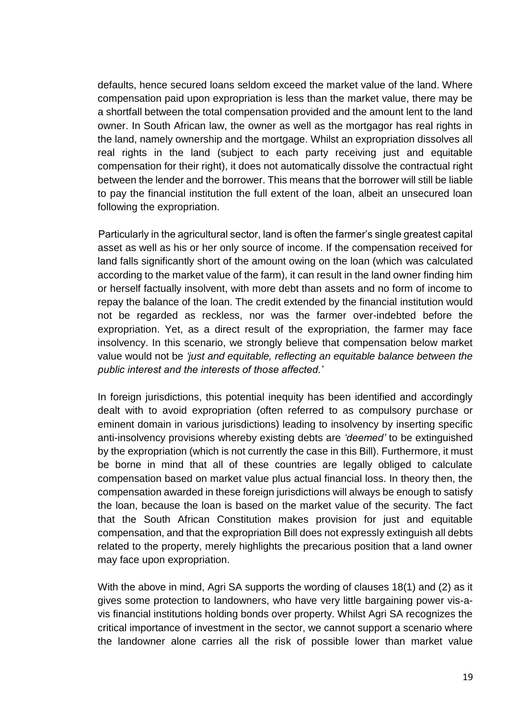defaults, hence secured loans seldom exceed the market value of the land. Where compensation paid upon expropriation is less than the market value, there may be a shortfall between the total compensation provided and the amount lent to the land owner. In South African law, the owner as well as the mortgagor has real rights in the land, namely ownership and the mortgage. Whilst an expropriation dissolves all real rights in the land (subject to each party receiving just and equitable compensation for their right), it does not automatically dissolve the contractual right between the lender and the borrower. This means that the borrower will still be liable to pay the financial institution the full extent of the loan, albeit an unsecured loan following the expropriation.

Particularly in the agricultural sector, land is often the farmer's single greatest capital asset as well as his or her only source of income. If the compensation received for land falls significantly short of the amount owing on the loan (which was calculated according to the market value of the farm), it can result in the land owner finding him or herself factually insolvent, with more debt than assets and no form of income to repay the balance of the loan. The credit extended by the financial institution would not be regarded as reckless, nor was the farmer over-indebted before the expropriation. Yet, as a direct result of the expropriation, the farmer may face insolvency. In this scenario, we strongly believe that compensation below market value would not be *'just and equitable, reflecting an equitable balance between the public interest and the interests of those affected.'*

In foreign jurisdictions, this potential inequity has been identified and accordingly dealt with to avoid expropriation (often referred to as compulsory purchase or eminent domain in various jurisdictions) leading to insolvency by inserting specific anti-insolvency provisions whereby existing debts are *'deemed'* to be extinguished by the expropriation (which is not currently the case in this Bill). Furthermore, it must be borne in mind that all of these countries are legally obliged to calculate compensation based on market value plus actual financial loss. In theory then, the compensation awarded in these foreign jurisdictions will always be enough to satisfy the loan, because the loan is based on the market value of the security. The fact that the South African Constitution makes provision for just and equitable compensation, and that the expropriation Bill does not expressly extinguish all debts related to the property, merely highlights the precarious position that a land owner may face upon expropriation.

With the above in mind, Agri SA supports the wording of clauses 18(1) and (2) as it gives some protection to landowners, who have very little bargaining power vis-avis financial institutions holding bonds over property. Whilst Agri SA recognizes the critical importance of investment in the sector, we cannot support a scenario where the landowner alone carries all the risk of possible lower than market value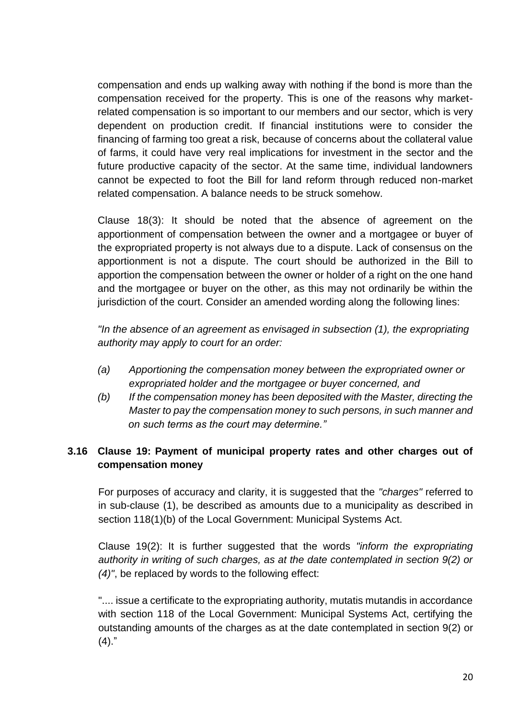compensation and ends up walking away with nothing if the bond is more than the compensation received for the property. This is one of the reasons why marketrelated compensation is so important to our members and our sector, which is very dependent on production credit. If financial institutions were to consider the financing of farming too great a risk, because of concerns about the collateral value of farms, it could have very real implications for investment in the sector and the future productive capacity of the sector. At the same time, individual landowners cannot be expected to foot the Bill for land reform through reduced non-market related compensation. A balance needs to be struck somehow.

Clause 18(3): It should be noted that the absence of agreement on the apportionment of compensation between the owner and a mortgagee or buyer of the expropriated property is not always due to a dispute. Lack of consensus on the apportionment is not a dispute. The court should be authorized in the Bill to apportion the compensation between the owner or holder of a right on the one hand and the mortgagee or buyer on the other, as this may not ordinarily be within the jurisdiction of the court. Consider an amended wording along the following lines:

*"In the absence of an agreement as envisaged in subsection (1), the expropriating authority may apply to court for an order:*

- *(a) Apportioning the compensation money between the expropriated owner or expropriated holder and the mortgagee or buyer concerned, and*
- *(b) If the compensation money has been deposited with the Master, directing the Master to pay the compensation money to such persons, in such manner and on such terms as the court may determine."*

# **3.16 Clause 19: Payment of municipal property rates and other charges out of compensation money**

For purposes of accuracy and clarity, it is suggested that the *"charges"* referred to in sub-clause (1), be described as amounts due to a municipality as described in section 118(1)(b) of the Local Government: Municipal Systems Act.

Clause 19(2): It is further suggested that the words *"inform the expropriating authority in writing of such charges, as at the date contemplated in section 9(2) or (4)"*, be replaced by words to the following effect:

".... issue a certificate to the expropriating authority, mutatis mutandis in accordance with section 118 of the Local Government: Municipal Systems Act, certifying the outstanding amounts of the charges as at the date contemplated in section 9(2) or  $(4).$ "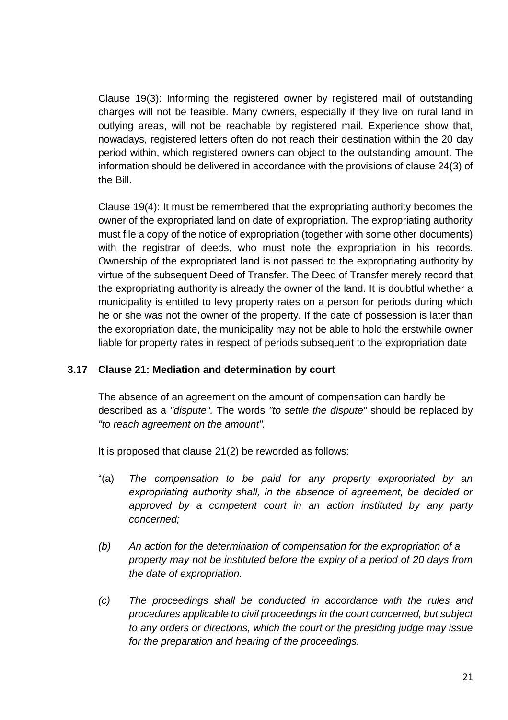Clause 19(3): Informing the registered owner by registered mail of outstanding charges will not be feasible. Many owners, especially if they live on rural land in outlying areas, will not be reachable by registered mail. Experience show that, nowadays, registered letters often do not reach their destination within the 20 day period within, which registered owners can object to the outstanding amount. The information should be delivered in accordance with the provisions of clause 24(3) of the Bill.

Clause 19(4): It must be remembered that the expropriating authority becomes the owner of the expropriated land on date of expropriation. The expropriating authority must file a copy of the notice of expropriation (together with some other documents) with the registrar of deeds, who must note the expropriation in his records. Ownership of the expropriated land is not passed to the expropriating authority by virtue of the subsequent Deed of Transfer. The Deed of Transfer merely record that the expropriating authority is already the owner of the land. It is doubtful whether a municipality is entitled to levy property rates on a person for periods during which he or she was not the owner of the property. If the date of possession is later than the expropriation date, the municipality may not be able to hold the erstwhile owner liable for property rates in respect of periods subsequent to the expropriation date

# **3.17 Clause 21: Mediation and determination by court**

The absence of an agreement on the amount of compensation can hardly be described as a *"dispute".* The words *"to settle the dispute"* should be replaced by *"to reach agreement on the amount".*

It is proposed that clause 21(2) be reworded as follows:

- "(a) *The compensation to be paid for any property expropriated by an expropriating authority shall, in the absence of agreement, be decided or approved by a competent court in an action instituted by any party concerned;*
- *(b) An action for the determination of compensation for the expropriation of a property may not be instituted before the expiry of a period of 20 days from the date of expropriation.*
- *(c) The proceedings shall be conducted in accordance with the rules and procedures applicable to civil proceedings in the court concerned, but subject to any orders or directions, which the court or the presiding judge may issue for the preparation and hearing of the proceedings.*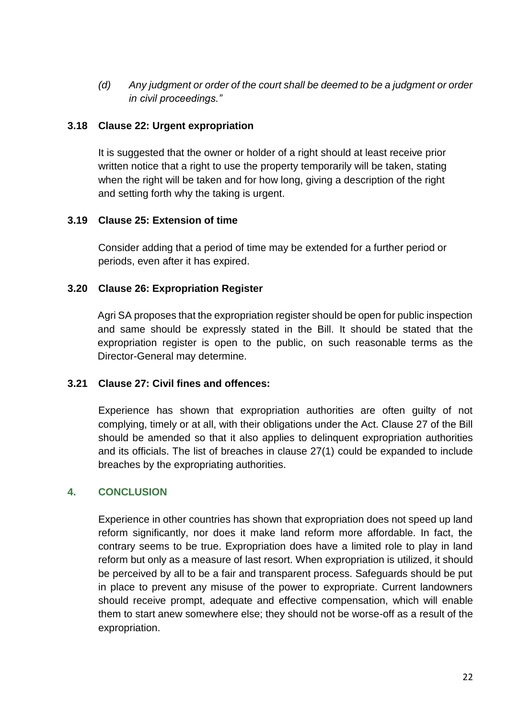*(d) Any judgment or order of the court shall be deemed to be a judgment or order in civil proceedings."*

# **3.18 Clause 22: Urgent expropriation**

It is suggested that the owner or holder of a right should at least receive prior written notice that a right to use the property temporarily will be taken, stating when the right will be taken and for how long, giving a description of the right and setting forth why the taking is urgent.

#### **3.19 Clause 25: Extension of time**

Consider adding that a period of time may be extended for a further period or periods, even after it has expired.

#### **3.20 Clause 26: Expropriation Register**

Agri SA proposes that the expropriation register should be open for public inspection and same should be expressly stated in the Bill. It should be stated that the expropriation register is open to the public, on such reasonable terms as the Director-General may determine.

#### **3.21 Clause 27: Civil fines and offences:**

Experience has shown that expropriation authorities are often guilty of not complying, timely or at all, with their obligations under the Act. Clause 27 of the Bill should be amended so that it also applies to delinquent expropriation authorities and its officials. The list of breaches in clause 27(1) could be expanded to include breaches by the expropriating authorities.

# **4. CONCLUSION**

Experience in other countries has shown that expropriation does not speed up land reform significantly, nor does it make land reform more affordable. In fact, the contrary seems to be true. Expropriation does have a limited role to play in land reform but only as a measure of last resort. When expropriation is utilized, it should be perceived by all to be a fair and transparent process. Safeguards should be put in place to prevent any misuse of the power to expropriate. Current landowners should receive prompt, adequate and effective compensation, which will enable them to start anew somewhere else; they should not be worse-off as a result of the expropriation.